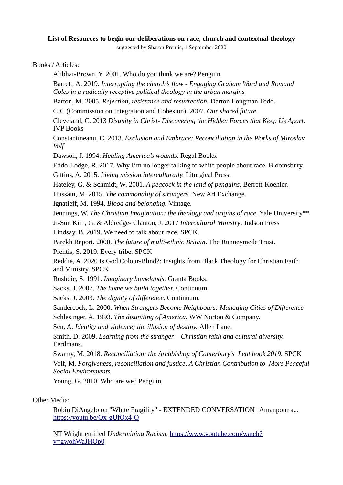## **List of Resources to begin our deliberations on race, church and contextual theology**

suggested by Sharon Prentis, 1 September 2020

Books / Articles:

Alibhai-Brown, Y. 2001. Who do you think we are? Penguin

Barrett, A. 2019. *Interrupting the church's flow - Engaging Graham Ward and Romand Coles in a radically receptive political theology in the urban margins*

Barton, M. 2005. *Rejection, resistance and resurrection.* Darton Longman Todd.

CIC (Commission on Integration and Cohesion). 2007. *Our shared future.* 

Cleveland, C. 2013 *Disunity in Christ- Discovering the Hidden Forces that Keep Us Apart*. IVP Books

Constantineanu, C. 2013. *Exclusion and Embrace: Reconciliation in the Works of Miroslav Volf*

Dawson, J. 1994. *Healing America's wounds.* Regal Books.

Eddo-Lodge, R. 2017. Why I'm no longer talking to white people about race. Bloomsbury. Gittins, A. 2015. *Living mission interculturally.* Liturgical Press.

Hateley, G. & Schmidt, W. 2001. *A peacock in the land of penguins.* Berrett-Koehler.

Hussain, M. 2015. *The commonality of strangers.* New Art Exchange.

Ignatieff, M. 1994. *Blood and belonging.* Vintage.

Jennings, W. *The Christian Imagination: the theology and origins of race*. Yale University\*\* Ji-Sun Kim, G. & Aldredge- Clanton, J. 2017 *Intercultural Ministry*. Judson Press Lindsay, B. 2019. We need to talk about race. SPCK.

Parekh Report. 2000. *The future of multi-ethnic Britain*. The Runneymede Trust.

Prentis, S. 2019. Every tribe. SPCK

Reddie, A 2020 Is God Colour-Blind?: Insights from Black Theology for Christian Faith and Ministry. SPCK

Rushdie, S. 1991. *Imaginary homelands.* Granta Books.

Sacks, J. 2007. *The home we build together.* Continuum.

Sacks, J. 2003. *The dignity of difference.* Continuum.

Sandercock, L. 2000. *When Strangers Become Neighbours: Managing Cities of Difference*

Schlesinger, A. 1993. *The disuniting of America.* WW Norton & Company.

Sen, A. *Identity and violence; the illusion of destiny.* Allen Lane.

Smith, D. 2009. *Learning from the stranger – Christian faith and cultural diversity.*  Eerdmans.

Swamy, M. 2018. *Reconciliation; the Archbishop of Canterbury's Lent book 2019.* SPCK Volf, M. *Forgiveness, reconciliation and justice*. *A Christian Contribution to More Peaceful [Social Enviro](https://youtu.be/Qx-gUfQx4-Q)nments*

Young, G. 2010. Wh[o are we? Penguin](https://www.youtube.com/watch?v=gwohWaJHOp0)

Other Media:

Robin DiAngelo on "White Fragility" - EXTENDED CONVERSATION | Amanpour a... https://youtu.be/Qx-gUfQx4-Q

NT Wright entitled *Undermining Racism*. https://www.youtube.com/watch? v=gwohWaJHOp0